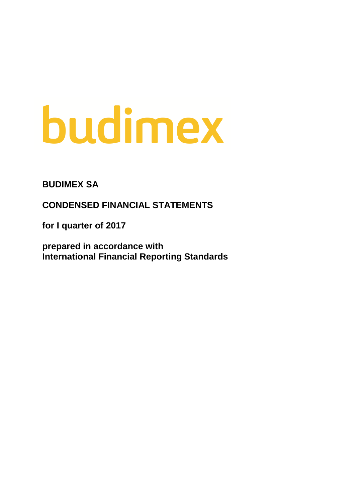# budimex

**BUDIMEX SA**

**CONDENSED FINANCIAL STATEMENTS**

**for I quarter of 2017**

**prepared in accordance with International Financial Reporting Standards**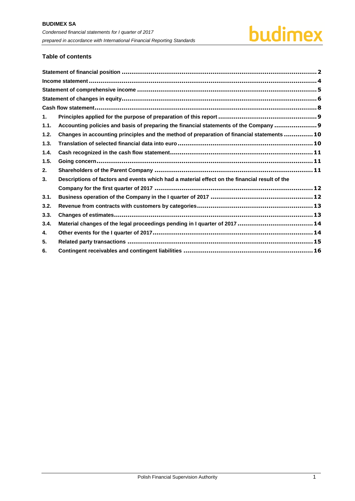# **Table of contents**

| 1.   |                                                                                               |  |
|------|-----------------------------------------------------------------------------------------------|--|
| 1.1. | Accounting policies and basis of preparing the financial statements of the Company  9         |  |
| 1.2. | Changes in accounting principles and the method of preparation of financial statements  10    |  |
| 1.3. |                                                                                               |  |
| 1.4. |                                                                                               |  |
| 1.5. |                                                                                               |  |
| 2.   |                                                                                               |  |
| 3.   | Descriptions of factors and events which had a material effect on the financial result of the |  |
|      |                                                                                               |  |
| 3.1. |                                                                                               |  |
| 3.2. |                                                                                               |  |
| 3.3. |                                                                                               |  |
| 3.4. | Material changes of the legal proceedings pending in I quarter of 2017  14                    |  |
| 4.   |                                                                                               |  |
| 5.   |                                                                                               |  |
| 6.   |                                                                                               |  |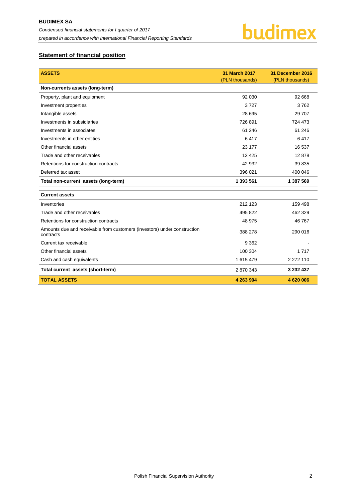

# <span id="page-2-0"></span>**Statement of financial position**

| <b>ASSETS</b>                                                                         | 31 March 2017<br>(PLN thousands) | 31 December 2016<br>(PLN thousands) |
|---------------------------------------------------------------------------------------|----------------------------------|-------------------------------------|
| Non-currents assets (long-term)                                                       |                                  |                                     |
| Property, plant and equipment                                                         | 92 030                           | 92 668                              |
| Investment properties                                                                 | 3727                             | 3762                                |
| Intangible assets                                                                     | 28 695                           | 29 707                              |
| Investments in subsidiaries                                                           | 726 891                          | 724 473                             |
| Investments in associates                                                             | 61 24 6                          | 61 24 6                             |
| Investments in other entities                                                         | 6417                             | 6417                                |
| Other financial assets                                                                | 23 177                           | 16 537                              |
| Trade and other receivables                                                           | 12 4 25                          | 12878                               |
| Retentions for construction contracts                                                 | 42 932                           | 39 835                              |
| Deferred tax asset                                                                    | 396 021                          | 400 046                             |
| Total non-current assets (long-term)                                                  | 1 393 561                        | 1 387 569                           |
| <b>Current assets</b>                                                                 |                                  |                                     |
| Inventories                                                                           | 212 123                          | 159 498                             |
| Trade and other receivables                                                           | 495 822                          | 462 329                             |
| Retentions for construction contracts                                                 | 48 975                           | 46 767                              |
| Amounts due and receivable from customers (investors) under construction<br>contracts | 388 278                          | 290 016                             |
| Current tax receivable                                                                | 9 3 6 2                          |                                     |
| Other financial assets                                                                | 100 304                          | 1717                                |
| Cash and cash equivalents                                                             | 1 615 479                        | 2 2 7 2 1 1 0                       |
| Total current assets (short-term)                                                     | 2 870 343                        | 3 232 437                           |
| <b>TOTAL ASSETS</b>                                                                   | 4 263 904                        | 4 620 006                           |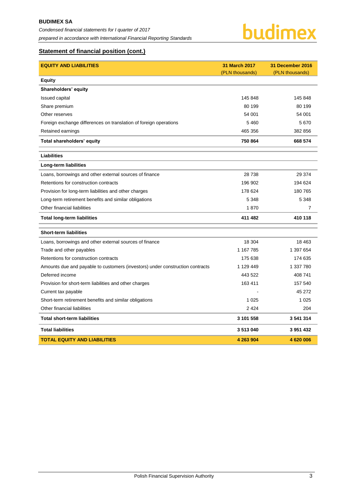# **Statement of financial position (cont.)**

| <b>EQUITY AND LIABILITIES</b>                                                 | <b>31 March 2017</b> | 31 December 2016 |
|-------------------------------------------------------------------------------|----------------------|------------------|
|                                                                               | (PLN thousands)      | (PLN thousands)  |
| <b>Equity</b>                                                                 |                      |                  |
| Shareholders' equity                                                          |                      |                  |
| <b>Issued capital</b>                                                         | 145 848              | 145 848          |
| Share premium                                                                 | 80 199               | 80 199           |
| Other reserves                                                                | 54 001               | 54 001           |
| Foreign exchange differences on translation of foreign operations             | 5 4 6 0              | 5670             |
| Retained earnings                                                             | 465 356              | 382 856          |
| Total shareholders' equity                                                    | 750 864              | 668 574          |
| <b>Liabilities</b>                                                            |                      |                  |
| Long-term liabilities                                                         |                      |                  |
| Loans, borrowings and other external sources of finance                       | 28 738               | 29 374           |
| Retentions for construction contracts                                         | 196 902              | 194 624          |
| Provision for long-term liabilities and other charges                         | 178 624              | 180 765          |
| Long-term retirement benefits and similar obligations                         | 5 3 4 8              | 5 3 4 8          |
| Other financial liabilities                                                   | 1870                 | 7                |
| <b>Total long-term liabilities</b>                                            | 411 482              | 410 118          |
| <b>Short-term liabilities</b>                                                 |                      |                  |
| Loans, borrowings and other external sources of finance                       | 18 304               | 18 4 63          |
| Trade and other payables                                                      | 1 167 785            | 1 397 654        |
| Retentions for construction contracts                                         | 175 638              | 174 635          |
| Amounts due and payable to customers (investors) under construction contracts | 1 129 449            | 1 337 780        |
| Deferred income                                                               | 443 522              | 408 741          |
| Provision for short-term liabilities and other charges                        | 163 411              | 157 540          |
| Current tax payable                                                           |                      | 45 272           |
| Short-term retirement benefits and similar obligations                        | 1 0 2 5              | 1 0 2 5          |
| Other financial liabilities                                                   | 2 4 2 4              | 204              |
| <b>Total short-term liabilities</b>                                           | 3 101 558            | 3 541 314        |
| <b>Total liabilities</b>                                                      | 3513040              | 3 951 432        |
| <b>TOTAL EQUITY AND LIABILITIES</b>                                           | 4 263 904            | 4620006          |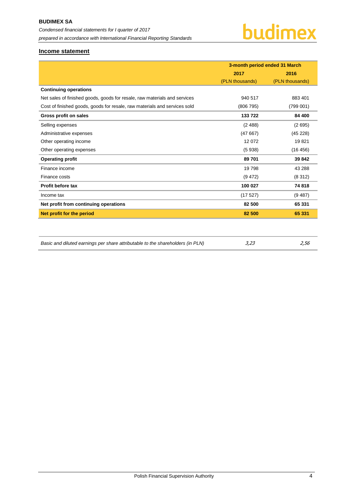# <span id="page-4-0"></span>**Income statement**

|                                                                           | 3-month period ended 31 March |                 |  |
|---------------------------------------------------------------------------|-------------------------------|-----------------|--|
|                                                                           | 2017                          | 2016            |  |
|                                                                           | (PLN thousands)               | (PLN thousands) |  |
| <b>Continuing operations</b>                                              |                               |                 |  |
| Net sales of finished goods, goods for resale, raw materials and services | 940 517                       | 883 401         |  |
| Cost of finished goods, goods for resale, raw materials and services sold | (806 795)                     | (799001)        |  |
| Gross profit on sales                                                     | 133722                        | 84 400          |  |
| Selling expenses                                                          | (2488)                        | (2695)          |  |
| Administrative expenses                                                   | (47667)                       | (45228)         |  |
| Other operating income                                                    | 12 072                        | 19821           |  |
| Other operating expenses                                                  | (5938)                        | (16 456)        |  |
| <b>Operating profit</b>                                                   | 89 701                        | 39 842          |  |
| Finance income                                                            | 19798                         | 43 288          |  |
| Finance costs                                                             | (9, 472)                      | (8312)          |  |
| <b>Profit before tax</b>                                                  | 100 027                       | 74 818          |  |
| Income tax                                                                | (17527)                       | (9.487)         |  |
| Net profit from continuing operations                                     | 82 500                        | 65 331          |  |
| Net profit for the period                                                 | 82 500                        | 65 331          |  |
|                                                                           |                               |                 |  |
|                                                                           |                               |                 |  |

| Basic and diluted earnings per share attributable to the shareholders (in PLN)<br>3,23 | 2,56 |
|----------------------------------------------------------------------------------------|------|
|----------------------------------------------------------------------------------------|------|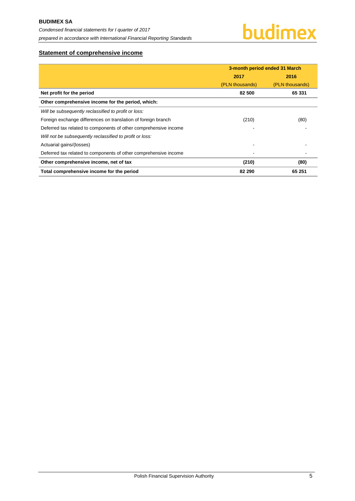# <span id="page-5-0"></span>**Statement of comprehensive income**

|                                                                  | 3-month period ended 31 March |                 |  |
|------------------------------------------------------------------|-------------------------------|-----------------|--|
|                                                                  | 2017<br>2016                  |                 |  |
|                                                                  | (PLN thousands)               | (PLN thousands) |  |
| Net profit for the period                                        | 82 500                        | 65 331          |  |
| Other comprehensive income for the period, which:                |                               |                 |  |
| Will be subsequently reclassified to profit or loss:             |                               |                 |  |
| Foreign exchange differences on translation of foreign branch    | (210)                         | (80)            |  |
| Deferred tax related to components of other comprehensive income |                               |                 |  |
| Will not be subsequently reclassified to profit or loss:         |                               |                 |  |
| Actuarial gains/(losses)                                         |                               |                 |  |
| Deferred tax related to components of other comprehensive income |                               |                 |  |
| Other comprehensive income, net of tax                           | (210)                         | (80)            |  |
| Total comprehensive income for the period                        | 82 290                        | 65 251          |  |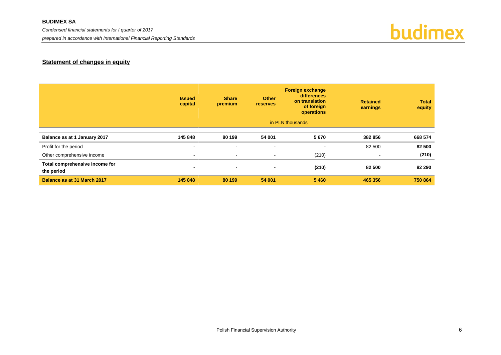# **BUDIMEX SA**

*Condensed financial statements for I quarter of 2017*

*prepared in accordance with International Financial Reporting Standards*



# **Statement of changes in equity**

<span id="page-6-0"></span>

|                                              | <b>Issued</b><br>capital | <b>Share</b><br>premium  | <b>Other</b><br><b>reserves</b> | <b>Foreign exchange</b><br>differences<br>on translation<br>of foreign<br>operations | <b>Retained</b><br>earnings | <b>Total</b><br>equity |
|----------------------------------------------|--------------------------|--------------------------|---------------------------------|--------------------------------------------------------------------------------------|-----------------------------|------------------------|
|                                              |                          |                          |                                 | in PLN thousands                                                                     |                             |                        |
| Balance as at 1 January 2017                 | 145 848                  | 80 199                   | 54 001                          | 5670                                                                                 | 382 856                     | 668 574                |
| Profit for the period                        | $\sim$                   | $\overline{\phantom{0}}$ | $\overline{\phantom{a}}$        | ۰.                                                                                   | 82 500                      | 82 500                 |
| Other comprehensive income                   | $\sim$                   | $\sim$                   | $\sim$                          | (210)                                                                                | $\sim$                      | (210)                  |
| Total comprehensive income for<br>the period | $\blacksquare$           | $\blacksquare$           | $\blacksquare$                  | (210)                                                                                | 82 500                      | 82 290                 |
| Balance as at 31 March 2017                  | 145 848                  | 80 199                   | 54 001                          | 5 4 6 0                                                                              | 465 356                     | 750 864                |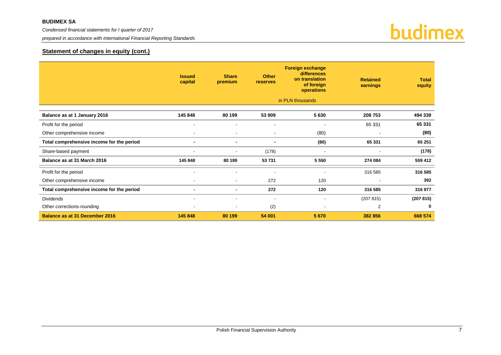*prepared in accordance with International Financial Reporting Standards*



# **Statement of changes in equity (cont.)**

|                                           | <b>Issued</b><br>capital | <b>Share</b><br>premium  | <b>Other</b><br>reserves | <b>Foreign exchange</b><br>differences<br>on translation<br>of foreign<br>operations<br>in PLN thousands | <b>Retained</b><br>earnings | <b>Total</b><br>equity |
|-------------------------------------------|--------------------------|--------------------------|--------------------------|----------------------------------------------------------------------------------------------------------|-----------------------------|------------------------|
|                                           |                          |                          |                          |                                                                                                          |                             |                        |
| Balance as at 1 January 2016              | 145 848                  | 80 199                   | 53 909                   | 5630                                                                                                     | 208 753                     | 494 339                |
| Profit for the period                     |                          |                          | $\overline{\phantom{a}}$ |                                                                                                          | 65 331                      | 65 331                 |
| Other comprehensive income                |                          | $\overline{\phantom{a}}$ |                          | (80)                                                                                                     |                             | (80)                   |
| Total comprehensive income for the period | $\blacksquare$           | $\blacksquare$           | $\blacksquare$           | (80)                                                                                                     | 65 331                      | 65 251                 |
| Share-based payment                       | ۰                        |                          | (178)                    | $\overline{\phantom{a}}$                                                                                 |                             | (178)                  |
| Balance as at 31 March 2016               | 145 848                  | 80 199                   | 53 731                   | 5 5 5 0                                                                                                  | 274 084                     | 559 412                |
| Profit for the period                     | $\blacksquare$           | $\overline{\phantom{a}}$ | $\overline{\phantom{a}}$ | $\overline{\phantom{a}}$                                                                                 | 316 585                     | 316 585                |
| Other comprehensive income                | $\overline{\phantom{a}}$ | $\overline{\phantom{a}}$ | 272                      | 120                                                                                                      |                             | 392                    |
| Total comprehensive income for the period | $\blacksquare$           | $\blacksquare$           | 272                      | 120                                                                                                      | 316 585                     | 316 977                |
| <b>Dividends</b>                          | $\overline{\phantom{a}}$ | $\overline{\phantom{a}}$ | $\overline{\phantom{a}}$ | $\overline{\phantom{a}}$                                                                                 | (207 815)                   | (207815)               |
| Other corrections-rounding                | $\blacksquare$           |                          | (2)                      | $\overline{\phantom{a}}$                                                                                 | 2                           | 0                      |
| <b>Balance as at 31 December 2016</b>     | 145 848                  | 80 199                   | 54 001                   | 5 6 7 0                                                                                                  | 382 856                     | 668 574                |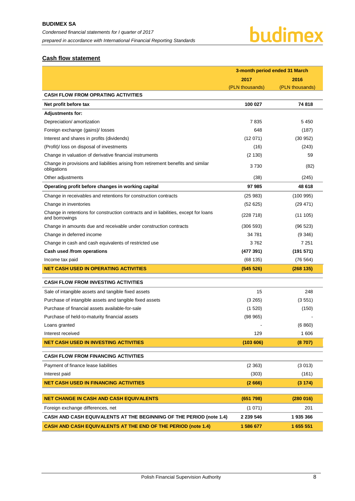# <span id="page-8-0"></span>**Cash flow statement**

|                                                                                                        | 3-month period ended 31 March |                 |  |
|--------------------------------------------------------------------------------------------------------|-------------------------------|-----------------|--|
|                                                                                                        | 2017                          | 2016            |  |
|                                                                                                        | (PLN thousands)               | (PLN thousands) |  |
| <b>CASH FLOW FROM OPRATING ACTIVITIES</b>                                                              |                               |                 |  |
| Net profit before tax                                                                                  | 100 027                       | 74 818          |  |
| <b>Adjustments for:</b>                                                                                |                               |                 |  |
| Depreciation/ amortization                                                                             | 7835                          | 5450            |  |
| Foreign exchange (gains)/ losses                                                                       | 648                           | (187)           |  |
| Interest and shares in profits (dividends)                                                             | (12071)                       | (30952)         |  |
| (Profit)/ loss on disposal of investments                                                              | (16)                          | (243)           |  |
| Change in valuation of derivative financial instruments                                                | (2 130)                       | 59              |  |
| Change in provisions and liabilities arising from retirement benefits and similar<br>obligations       | 3730                          | (82)            |  |
| Other adjustments                                                                                      | (38)                          | (245)           |  |
| Operating profit before changes in working capital                                                     | 97 985                        | 48 618          |  |
| Change in receivables and retentions for construction contracts                                        | (25983)                       | (100995)        |  |
| Change in inventories                                                                                  | (52625)                       | (29 471)        |  |
| Change in retentions for construction contracts and in liabilities, except for loans<br>and borrowings | (228 718)                     | (11105)         |  |
| Change in amounts due and receivable under construction contracts                                      | (306593)                      | (96 523)        |  |
| Change in deferred income                                                                              | 34 781                        | (9346)          |  |
| Change in cash and cash equivalents of restricted use                                                  | 3762                          | 7 2 5 1         |  |
| Cash used /from operations                                                                             | (477391)                      | (191571)        |  |
| Income tax paid                                                                                        | (68135)                       | (76 564)        |  |
| <b>NET CASH USED IN OPERATING ACTIVITIES</b>                                                           | (545526)                      | (268135)        |  |
| <b>CASH FLOW FROM INVESTING ACTIVITIES</b>                                                             |                               |                 |  |
| Sale of intangible assets and tangible fixed assets                                                    | 15                            | 248             |  |
| Purchase of intangible assets and tangible fixed assets                                                | (3 265)                       | (3551)          |  |
| Purchase of financial assets available-for-sale                                                        | (1520)                        | (150)           |  |
| Purchase of held-to-maturity financial assets                                                          | (98965)                       |                 |  |
| Loans granted                                                                                          |                               | (6 860)         |  |
| Interest received                                                                                      | 129                           | 1 606           |  |
| <b>NET CASH USED IN INVESTING ACTIVITIES</b>                                                           | (103606)                      | (8707)          |  |
| <b>CASH FLOW FROM FINANCING ACTIVITIES</b>                                                             |                               |                 |  |
| Payment of finance lease liabilities                                                                   | (2363)                        | (3 013)         |  |
| Interest paid                                                                                          | (303)                         | (161)           |  |
| <b>NET CASH USED IN FINANCING ACTIVITIES</b>                                                           | (2666)                        | (3174)          |  |
| <b>NET CHANGE IN CASH AND CASH EQUIVALENTS</b>                                                         | (651 798)                     | (280016)        |  |
| Foreign exchange differences, net                                                                      | (1 071)                       | 201             |  |
| <b>CASH AND CASH EQUIVALENTS AT THE BEGINNING OF THE PERIOD (note 1.4)</b>                             | 2 239 546                     | 1935366         |  |
| CASH AND CASH EQUIVALENTS AT THE END OF THE PERIOD (note 1.4)                                          | 1 586 677                     | 1 655 551       |  |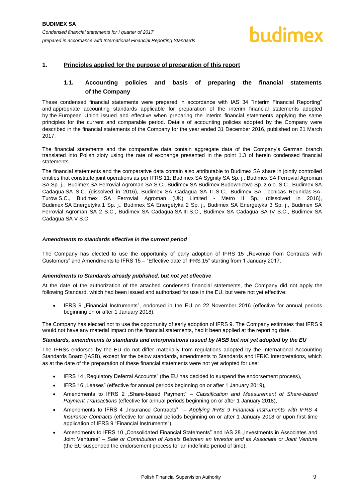# <span id="page-9-1"></span><span id="page-9-0"></span>**1. Principles applied for the purpose of preparation of this report**

# **1.1. Accounting policies and basis of preparing the financial statements of the Company**

These condensed financial statements were prepared in accordance with IAS 34 "Interim Financial Reporting" and appropriate accounting standards applicable for preparation of the interim financial statements adopted by the European Union issued and effective when preparing the interim financial statements applying the same principles for the current and comparable period. Details of accounting policies adopted by the Company were described in the financial statements of the Company for the year ended 31 December 2016, published on 21 March 2017.

The financial statements and the comparative data contain aggregate data of the Company's German branch translated into Polish zloty using the rate of exchange presented in the point 1.3 of herein condensed financial statements.

The financial statements and the comparative data contain also attributable to Budimex SA share in jointly controlled entities that constitute joint operations as per IFRS 11: Budimex SA Sygnity SA Sp. j., Budimex SA Ferrovial Agroman SA Sp. j., Budimex SA Ferrovial Agroman SA S.C., Budimex SA Budimex Budownictwo Sp. z o.o. S.C., Budimex SA Cadagua SA S.C. (dissolved in 2016), Budimex SA Cadagua SA II S.C., Budimex SA Tecnicas Reunidas SA-Turów S.C., Budimex SA Ferrovial Agroman (UK) Limited - Metro II Sp.j (dissolved in 2016), Budimex SA Energetyka 1 Sp. j., Budimex SA Energetyka 2 Sp. j., Budimex SA Energetyka 3 Sp. j., Budimex SA Ferrovial Agroman SA 2 S.C., Budimex SA Cadagua SA III S.C., Budimex SA Cadagua SA IV S.C., Budimex SA Cadagua SA V S.C.

### *Amendments to standards effective in the current period*

The Company has elected to use the opportunity of early adoption of IFRS 15 "Revenue from Contracts with Customers" and Amendments to IFRS 15 – "Effective date of IFRS 15" starting from 1 January 2017.

# *Amendments to Standards already published, but not yet effective*

At the date of the authorization of the attached condensed financial statements, the Company did not apply the following Standard, which had been issued and authorised for use in the EU, but were not yet effective:

IFRS 9 . Financial Instruments", endorsed in the EU on 22 November 2016 (effective for annual periods beginning on or after 1 January 2018),

The Company has elected not to use the opportunity of early adoption of IFRS 9. The Company estimates that IFRS 9 would not have any material impact on the financial statements, had it been applied at the reporting date.

### *Standards, amendments to standards and interpretations issued by IASB but not yet adopted by the EU*

The IFRSs endorsed by the EU do not differ materially from regulations adopted by the International Accounting Standards Board (IASB), except for the below standards, amendments to Standards and IFRIC Interpretations, which as at the date of the preparation of these financial statements were not yet adopted for use:

- IFRS 14 "Regulatory Deferral Accounts" (the EU has decided to suspend the endorsement process),
- IFRS 16 "Leases" (effective for annual periods beginning on or after 1 January 2019),
- Amendments to IFRS 2 "Share-based Payment" *Classification and Measurement of Share-based Payment Transactions* (effective for annual periods beginning on or after 1 January 2018),
- Amendments to IFRS 4 "Insurance Contracts" *Applying IFRS 9 Financial Instruments with IFRS 4 Insurance Contracts* (effective for annual periods beginning on or after 1 January 2018 or upon first-time application of IFRS 9 "Financial Instruments"),
- Amendments to IFRS 10 "Consolidated Financial Statements" and IAS 28 "Investments in Associates and Joint Ventures" – *Sale or Contribution of Assets Between an Investor and its Associate or Joint Venture* (the EU suspended the endorsement process for an indefinite period of time),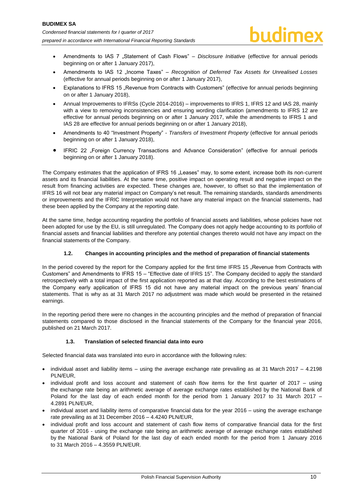- Amendments to IAS 7 "Statement of Cash Flows" *Disclosure Initiative* (effective for annual periods beginning on or after 1 January 2017),
- Amendments to IAS 12 "Income Taxes" *Recognition of Deferred Tax Assets for Unrealised Losses* (effective for annual periods beginning on or after 1 January 2017),
- Explanations to IFRS 15 "Revenue from Contracts with Customers" (effective for annual periods beginning on or after 1 January 2018),
- Annual Improvements to IFRSs (Cycle 2014-2016) improvements to IFRS 1, IFRS 12 and IAS 28, mainly with a view to removing inconsistencies and ensuring wording clarification (amendments to IFRS 12 are effective for annual periods beginning on or after 1 January 2017, while the amendments to IFRS 1 and IAS 28 are effective for annual periods beginning on or after 1 January 2018),
- Amendments to 40 "Investment Property" *Transfers of Investment Property* (effective for annual periods beginning on or after 1 January 2018),
- IFRIC 22 "Foreign Currency Transactions and Advance Consideration" (effective for annual periods beginning on or after 1 January 2018).

The Company estimates that the application of IFRS 16 "Leases" may, to some extent, increase both its non-current assets and its financial liabilities. At the same time, positive impact on operating result and negative impact on the result from financing activities are expected. These changes are, however, to offset so that the implementation of IFRS 16 will not bear any material impact on Company's net result. The remaining standards, standards amendments or improvements and the IFRIC Interpretation would not have any material impact on the financial statements, had these been applied by the Company at the reporting date.

At the same time, hedge accounting regarding the portfolio of financial assets and liabilities, whose policies have not been adopted for use by the EU, is still unregulated. The Company does not apply hedge accounting to its portfolio of financial assets and financial liabilities and therefore any potential changes thereto would not have any impact on the financial statements of the Company.

# **1.2. Changes in accounting principles and the method of preparation of financial statements**

<span id="page-10-0"></span>In the period covered by the report for the Company applied for the first time IFRS 15 "Revenue from Contracts with Customers" and Amendments to IFRS 15 – "Effective date of IFRS 15". The Company decided to apply the standard retrospectively with a total impact of the first application reported as at that day. According to the best estimations of the Company early application of IFRS 15 did not have any material impact on the previous years' financial statements. That is why as at 31 March 2017 no adjustment was made which would be presented in the retained earnings.

In the reporting period there were no changes in the accounting principles and the method of preparation of financial statements compared to those disclosed in the financial statements of the Company for the financial year 2016, published on 21 March 2017.

# **1.3. Translation of selected financial data into euro**

<span id="page-10-1"></span>Selected financial data was translated into euro in accordance with the following rules:

- $\bullet$  individual asset and liability items using the average exchange rate prevailing as at 31 March 2017 4.2198 PLN/EUR,
- individual profit and loss account and statement of cash flow items for the first quarter of 2017 using the exchange rate being an arithmetic average of average exchange rates established by the National Bank of Poland for the last day of each ended month for the period from 1 January 2017 to 31 March 2017 – 4.2891 PLN/EUR,
- individual asset and liability items of comparative financial data for the year 2016 using the average exchange rate prevailing as at 31 December 2016 – 4.4240 PLN/EUR,
- individual profit and loss account and statement of cash flow items of comparative financial data for the first quarter of 2016 - using the exchange rate being an arithmetic average of average exchange rates established by the National Bank of Poland for the last day of each ended month for the period from 1 January 2016 to 31 March 2016 – 4.3559 PLN/EUR.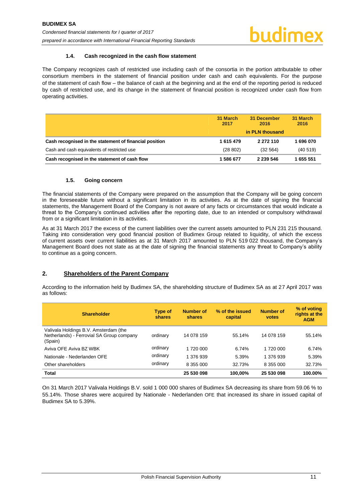### **1.4. Cash recognized in the cash flow statement**

<span id="page-11-0"></span>The Company recognizes cash of restricted use including cash of the consortia in the portion attributable to other consortium members in the statement of financial position under cash and cash equivalents. For the purpose of the statement of cash flow – the balance of cash at the beginning and at the end of the reporting period is reduced by cash of restricted use, and its change in the statement of financial position is recognized under cash flow from operating activities.

|                                                        | 31 March<br>2017 | 31 December<br>2016 | 31 March<br>2016 |
|--------------------------------------------------------|------------------|---------------------|------------------|
|                                                        |                  | in PLN thousand     |                  |
| Cash recognised in the statement of financial position | 1 615 479        | 2 272 110           | 1696070          |
| Cash and cash equivalents of restricted use            | (28802)          | (32 564)            | (40519)          |
| Cash recognised in the statement of cash flow          | 1586677          | 2 239 546           | 1 655 551        |

### **1.5. Going concern**

<span id="page-11-1"></span>The financial statements of the Company were prepared on the assumption that the Company will be going concern in the foreseeable future without a significant limitation in its activities. As at the date of signing the financial statements, the Management Board of the Company is not aware of any facts or circumstances that would indicate a threat to the Company's continued activities after the reporting date, due to an intended or compulsory withdrawal from or a significant limitation in its activities.

As at 31 March 2017 the excess of the current liabilities over the current assets amounted to PLN 231 215 thousand. Taking into consideration very good financial position of Budimex Group related to liquidity, of which the excess of current assets over current liabilities as at 31 March 2017 amounted to PLN 519 022 thousand, the Company's Management Board does not state as at the date of signing the financial statements any threat to Company's ability to continue as a going concern.

# <span id="page-11-2"></span>**2. Shareholders of the Parent Company**

According to the information held by Budimex SA, the shareholding structure of Budimex SA as at 27 April 2017 was as follows:

| <b>Shareholder</b>                                                                            | Type of<br>shares | <b>Number of</b><br>shares | % of the issued<br>capital | Number of<br>votes | % of voting<br>rights at the<br><b>AGM</b> |
|-----------------------------------------------------------------------------------------------|-------------------|----------------------------|----------------------------|--------------------|--------------------------------------------|
| Valivala Holdings B.V. Amsterdam (the<br>Netherlands) - Ferrovial SA Group company<br>(Spain) | ordinary          | 14 078 159                 | 55.14%                     | 14 078 159         | 55.14%                                     |
| Aviva OFE Aviva BZ WBK                                                                        | ordinary          | 1 720 000                  | 6.74%                      | 1 720 000          | 6.74%                                      |
| Nationale - Nederlanden OFE                                                                   | ordinary          | 1 376 939                  | 5.39%                      | 1 376 939          | 5.39%                                      |
| Other shareholders                                                                            | ordinary          | 8 355 000                  | 32.73%                     | 8 355 000          | 32.73%                                     |
| <b>Total</b>                                                                                  |                   | 25 530 098                 | 100.00%                    | 25 530 098         | 100.00%                                    |

On 31 March 2017 Valivala Holdings B.V. sold 1 000 000 shares of Budimex SA decreasing its share from 59.06 % to 55.14%. Those shares were acquired by Nationale - Nederlanden OFE that increased its share in issued capital of Budimex SA to 5.39%.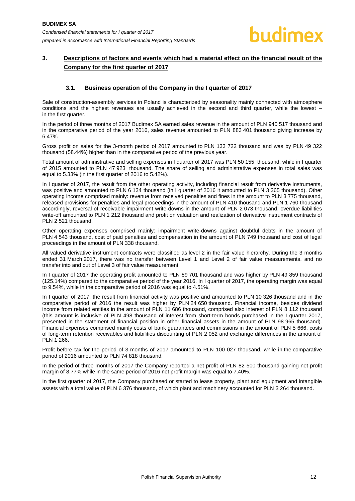# <span id="page-12-0"></span>**3. Descriptions of factors and events which had a material effect on the financial result of the Company for the first quarter of 2017**

# **3.1. Business operation of the Company in the I quarter of 2017**

<span id="page-12-1"></span>Sale of construction-assembly services in Poland is characterized by seasonality mainly connected with atmosphere conditions and the highest revenues are usually achieved in the second and third quarter, while the lowest – in the first quarter.

In the period of three months of 2017 Budimex SA earned sales revenue in the amount of PLN 940 517 thousand and in the comparative period of the year 2016, sales revenue amounted to PLN 883 401 thousand giving increase by 6.47%

Gross profit on sales for the 3-month period of 2017 amounted to PLN 133 722 thousand and was by PLN 49 322 thousand (58.44%) higher than in the comparative period of the previous year.

Total amount of administrative and selling expenses in I quarter of 2017 was PLN 50 155 thousand, while in I quarter of 2015 amounted to PLN 47 923 thousand. The share of selling and administrative expenses in total sales was equal to 5.33% (in the first quarter of 2016 to 5.42%).

In I quarter of 2017, the result from the other operating activity, including financial result from derivative instruments, was positive and amounted to PLN 6 134 thousand (in I quarter of 2016 it amounted to PLN 3 365 thousand). Other operating income comprised mainly: revenue from received penalties and fines in the amount to PLN 3 775 thousand, released provisions for penalties and legal proceedings in the amount of PLN 410 thousand and PLN 1 760 thousand accordingly, reversal of receivable impairment write-downs in the amount of PLN 2 073 thousand, overdue liabilities write-off amounted to PLN 1 212 thousand and profit on valuation and realization of derivative instrument contracts of PLN 2 521 thousand.

Other operating expenses comprised mainly: impairment write-downs against doubtful debts in the amount of PLN 4 543 thousand, cost of paid penalties and compensation in the amount of PLN 749 thousand and cost of legal proceedings in the amount of PLN 338 thousand.

All valued derivative instrument contracts were classified as level 2 in the fair value hierarchy. During the 3 months ended 31 March 2017, there was no transfer between Level 1 and Level 2 of fair value measurements, and no transfer into and out of Level 3 of fair value measurement.

In I quarter of 2017 the operating profit amounted to PLN 89 701 thousand and was higher by PLN 49 859 thousand (125.14%) compared to the comparative period of the year 2016. In I quarter of 2017, the operating margin was equal to 9.54%, while in the comparative period of 2016 was equal to 4.51%.

In I quarter of 2017, the result from financial activity was positive and amounted to PLN 10 326 thousand and in the comparative period of 2016 the result was higher by PLN 24 650 thousand. Financial income, besides dividend income from related entities in the amount of PLN 11 686 thousand, comprised also interest of PLN 8 112 thousand (this amount is inclusive of PLN 498 thousand of interest from short-term bonds purchased in the I quarter 2017, presented in the statement of financial position in other financial assets in the amount of PLN 98 965 thousand). Financial expenses comprised mainly costs of bank guarantees and commissions in the amount of PLN 5 666, costs of long-term retention receivables and liabilities discounting of PLN 2 052 and exchange differences in the amount of PLN 1 266.

Profit before tax for the period of 3-months of 2017 amounted to PLN 100 027 thousand, while in the comparative period of 2016 amounted to PLN 74 818 thousand.

In the period of three months of 2017 the Company reported a net profit of PLN 82 500 thousand gaining net profit margin of 8.77% while in the same period of 2016 net profit margin was equal to 7.40%.

In the first quarter of 2017, the Company purchased or started to lease property, plant and equipment and intangible assets with a total value of PLN 6 376 thousand, of which plant and machinery accounted for PLN 3 264 thousand.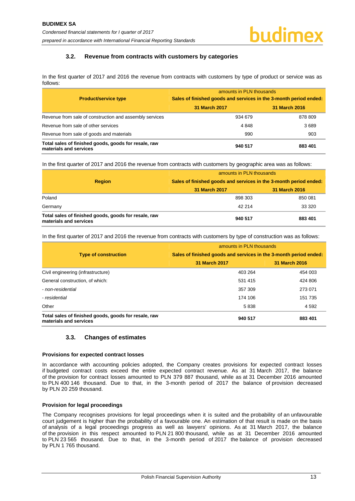# **3.2. Revenue from contracts with customers by categories**

<span id="page-13-0"></span>In the first quarter of 2017 and 2016 the revenue from contracts with customers by type of product or service was as follows:

|                                                                                | amounts in PLN thousands                                          |               |  |  |
|--------------------------------------------------------------------------------|-------------------------------------------------------------------|---------------|--|--|
| <b>Product/service type</b>                                                    | Sales of finished goods and services in the 3-month period ended: |               |  |  |
|                                                                                | 31 March 2017                                                     | 31 March 2016 |  |  |
| Revenue from sale of construction and assembly services                        | 934 679                                                           | 878 809       |  |  |
| Revenue from sale of other services                                            | 4848                                                              | 3689          |  |  |
| Revenue from sale of goods and materials                                       | 990                                                               | 903           |  |  |
| Total sales of finished goods, goods for resale, raw<br>materials and services | 940 517                                                           | 883 401       |  |  |

In the first quarter of 2017 and 2016 the revenue from contracts with customers by geographic area was as follows:

|                                                                                | amounts in PLN thousands<br>Sales of finished goods and services in the 3-month period ended: |               |  |
|--------------------------------------------------------------------------------|-----------------------------------------------------------------------------------------------|---------------|--|
| <b>Region</b>                                                                  |                                                                                               |               |  |
|                                                                                | 31 March 2017                                                                                 | 31 March 2016 |  |
| Poland                                                                         | 898 303                                                                                       | 850 081       |  |
| Germany                                                                        | 42 214                                                                                        | 33 320        |  |
| Total sales of finished goods, goods for resale, raw<br>materials and services | 940 517                                                                                       | 883 401       |  |

In the first quarter of 2017 and 2016 the revenue from contracts with customers by type of construction was as follows:

|                                                                                | amounts in PLN thousands<br>Sales of finished goods and services in the 3-month period ended: |               |  |
|--------------------------------------------------------------------------------|-----------------------------------------------------------------------------------------------|---------------|--|
| <b>Type of construction</b>                                                    |                                                                                               |               |  |
|                                                                                | 31 March 2017                                                                                 | 31 March 2016 |  |
| Civil engineering (infrastructure)                                             | 403 264                                                                                       | 454 003       |  |
| General construction, of which:                                                | 531 415                                                                                       | 424 806       |  |
| - non-residential                                                              | 357 309                                                                                       | 273 071       |  |
| - residential                                                                  | 174 106                                                                                       | 151 735       |  |
| Other                                                                          | 5838                                                                                          | 4 5 9 2       |  |
| Total sales of finished goods, goods for resale, raw<br>materials and services | 940 517                                                                                       | 883 401       |  |

# **3.3. Changes of estimates**

### <span id="page-13-1"></span>**Provisions for expected contract losses**

In accordance with accounting policies adopted, the Company creates provisions for expected contract losses if budgeted contract costs exceed the entire expected contract revenue. As at 31 March 2017, the balance of the provision for contract losses amounted to PLN 379 887 thousand, while as at 31 December 2016 amounted to PLN 400 146 thousand. Due to that, in the 3-month period of 2017 the balance of provision decreased by PLN 20 259 thousand.

### **Provision for legal proceedings**

The Company recognises provisions for legal proceedings when it is suited and the probability of an unfavourable court judgement is higher than the probability of a favourable one. An estimation of that result is made on the basis of analysis of a legal proceedings progress as well as lawyers' opinions. As at 31 March 2017, the balance of the provision in this respect amounted to PLN 21 800 thousand, while as at 31 December 2016 amounted to PLN 23 565 thousand. Due to that, in the 3-month period of 2017 the balance of provision decreased by PLN 1 765 thousand.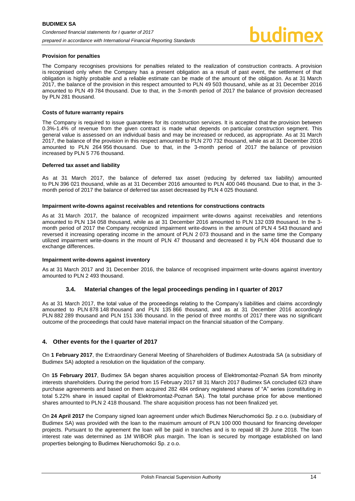### **Provision for penalties**

The Company recognises provisions for penalties related to the realization of construction contracts. A provision is recognised only when the Company has a present obligation as a result of past event, the settlement of that obligation is highly probable and a reliable estimate can be made of the amount of the obligation. As at 31 March 2017, the balance of the provision in this respect amounted to PLN 49 503 thousand, while as at 31 December 2016 amounted to PLN 49 784 thousand. Due to that, in the 3-month period of 2017 the balance of provision decreased by PLN 281 thousand.

### **Costs of future warranty repairs**

The Company is required to issue guarantees for its construction services. It is accepted that the provision between 0.3%-1.4% of revenue from the given contract is made what depends on particular construction segment. This general value is assessed on an individual basis and may be increased or reduced, as appropriate. As at 31 March 2017, the balance of the provision in this respect amounted to PLN 270 732 thousand, while as at 31 December 2016 amounted to PLN 264 956 thousand. Due to that, in the 3-month period of 2017 the balance of provision increased by PLN 5 776 thousand.

### **Deferred tax asset and liability**

As at 31 March 2017, the balance of deferred tax asset (reducing by deferred tax liability) amounted to PLN 396 021 thousand, while as at 31 December 2016 amounted to PLN 400 046 thousand. Due to that, in the 3 month period of 2017 the balance of deferred tax asset decreased by PLN 4 025 thousand.

### **Impairment write-downs against receivables and retentions for constructions contracts**

As at 31 March 2017, the balance of recognized impairment write-downs against receivables and retentions amounted to PLN 134 058 thousand, while as at 31 December 2016 amounted to PLN 132 039 thousand. In the 3 month period of 2017 the Company recognized impairment write-downs in the amount of PLN 4 543 thousand and reversed it increasing operating income in the amount of PLN 2 073 thousand and in the same time the Company utilized impairment write-downs in the mount of PLN 47 thousand and decreased it by PLN 404 thousand due to exchange differences.

### **Impairment write-downs against inventory**

As at 31 March 2017 and 31 December 2016, the balance of recognised impairment write-downs against inventory amounted to PLN 2 493 thousand.

# **3.4. Material changes of the legal proceedings pending in I quarter of 2017**

<span id="page-14-0"></span>As at 31 March 2017, the total value of the proceedings relating to the Company's liabilities and claims accordingly amounted to PLN 878 148 thousand and PLN 135 866 thousand, and as at 31 December 2016 accordingly PLN 882 289 thousand and PLN 151 336 thousand. In the period of three months of 2017 there was no significant outcome of the proceedings that could have material impact on the financial situation of the Company.

# <span id="page-14-1"></span>**4. Other events for the I quarter of 2017**

On **1 February 2017**, the Extraordinary General Meeting of Shareholders of Budimex Autostrada SA (a subsidiary of Budimex SA) adopted a resolution on the liquidation of the company.

On **15 February 2017**, Budimex SA began shares acquisition process of Elektromontaż-Poznań SA from minority interests shareholders. During the period from 15 February 2017 till 31 March 2017 Budimex SA concluded 623 share purchase agreements and based on them acquired 282 484 ordinary registered shares of "A" series (constituting in total 5.22% share in issued capital of Elektromontaż-Poznań SA). The total purchase price for above mentioned shares amounted to PLN 2 418 thousand. The share acquisition process has not been finalized yet.

On **24 April 2017** the Company signed loan agreement under which Budimex Nieruchomości Sp. z o.o. (subsidiary of Budimex SA) was provided with the loan to the maximum amount of PLN 100 000 thousand for financing developer projects. Pursuant to the agreement the loan will be paid in tranches and is to repaid till 29 June 2018. The loan interest rate was determined as 1M WIBOR plus margin. The loan is secured by mortgage established on land properties belonging to Budimex Nieruchomości Sp. z o.o.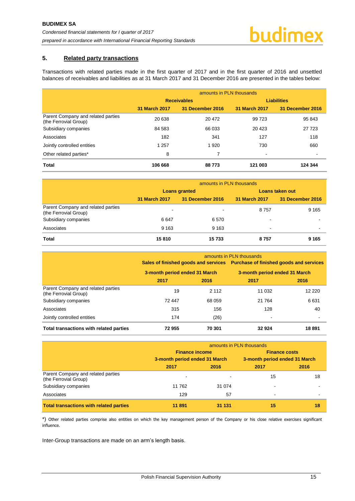# <span id="page-15-0"></span>**5. Related party transactions**

Transactions with related parties made in the first quarter of 2017 and in the first quarter of 2016 and unsettled balances of receivables and liabilities as at 31 March 2017 and 31 December 2016 are presented in the tables below:

|                                                             | amounts in PLN thousands |                    |                    |                  |  |
|-------------------------------------------------------------|--------------------------|--------------------|--------------------|------------------|--|
|                                                             |                          | <b>Receivables</b> | <b>Liabilities</b> |                  |  |
|                                                             | <b>31 March 2017</b>     | 31 December 2016   | 31 March 2017      | 31 December 2016 |  |
| Parent Company and related parties<br>(the Ferrovial Group) | 20 638                   | 20 472             | 99 723             | 95 843           |  |
| Subsidiary companies                                        | 84 583                   | 66 033             | 20 4 23            | 27 7 23          |  |
| Associates                                                  | 182                      | 341                | 127                | 118              |  |
| Jointly controlled entities                                 | 1 2 5 7                  | 1920               | 730                | 660              |  |
| Other related parties*                                      | 8                        | 7                  | ۰                  | $\,$             |  |
| <b>Total</b>                                                | 106 668                  | 88773              | 121 003            | 124 344          |  |

|                                                             | amounts in PLN thousands |                          |                 |                  |
|-------------------------------------------------------------|--------------------------|--------------------------|-----------------|------------------|
|                                                             | <b>Loans granted</b>     |                          | Loans taken out |                  |
|                                                             | <b>31 March 2017</b>     | 31 December 2016         | 31 March 2017   | 31 December 2016 |
| Parent Company and related parties<br>(the Ferrovial Group) | $\,$                     | $\overline{\phantom{0}}$ | 8757            | 9 1 6 5          |
| Subsidiary companies                                        | 6647                     | 6 5 7 0                  |                 |                  |
| Associates                                                  | 9 1 6 3                  | 9 1 6 3                  | -               |                  |
| <b>Total</b>                                                | 15810                    | 15 733                   | 8757            | 9 1 6 5          |

|                                                             | amounts in PLN thousands      |         |                                                                                                               |          |
|-------------------------------------------------------------|-------------------------------|---------|---------------------------------------------------------------------------------------------------------------|----------|
|                                                             | 3-month period ended 31 March |         | Sales of finished goods and services Purchase of finished goods and services<br>3-month period ended 31 March |          |
|                                                             |                               |         |                                                                                                               |          |
|                                                             | 2017                          | 2016    | 2017                                                                                                          | 2016     |
| Parent Company and related parties<br>(the Ferrovial Group) | 19                            | 2 1 1 2 | 11 0 32                                                                                                       | 12 2 2 0 |
| Subsidiary companies                                        | 72 447                        | 68 059  | 21 7 64                                                                                                       | 6631     |
| Associates                                                  | 315                           | 156     | 128                                                                                                           | 40       |
| Jointly controlled entities                                 | 174                           | (26)    | $\blacksquare$                                                                                                |          |
| Total transactions with related parties                     | 72955                         | 70 301  | 32924                                                                                                         | 18 891   |

|                                                             | amounts in PLN thousands                               |         |                               |      |
|-------------------------------------------------------------|--------------------------------------------------------|---------|-------------------------------|------|
|                                                             | <b>Finance income</b><br>3-month period ended 31 March |         | <b>Finance costs</b>          |      |
|                                                             |                                                        |         | 3-month period ended 31 March |      |
|                                                             | 2017                                                   | 2016    | 2017                          | 2016 |
| Parent Company and related parties<br>(the Ferrovial Group) |                                                        |         | 15                            | 18   |
| Subsidiary companies                                        | 11762                                                  | 31 0 74 |                               |      |
| Associates                                                  | 129                                                    | 57      | -                             |      |
| <b>Total transactions with related parties</b>              | 11 891                                                 | 31 131  | 15                            | 18   |

\*) Other related parties comprise also entities on which the key management person of the Company or his close relative exercises significant influence.

Inter-Group transactions are made on an arm's length basis.